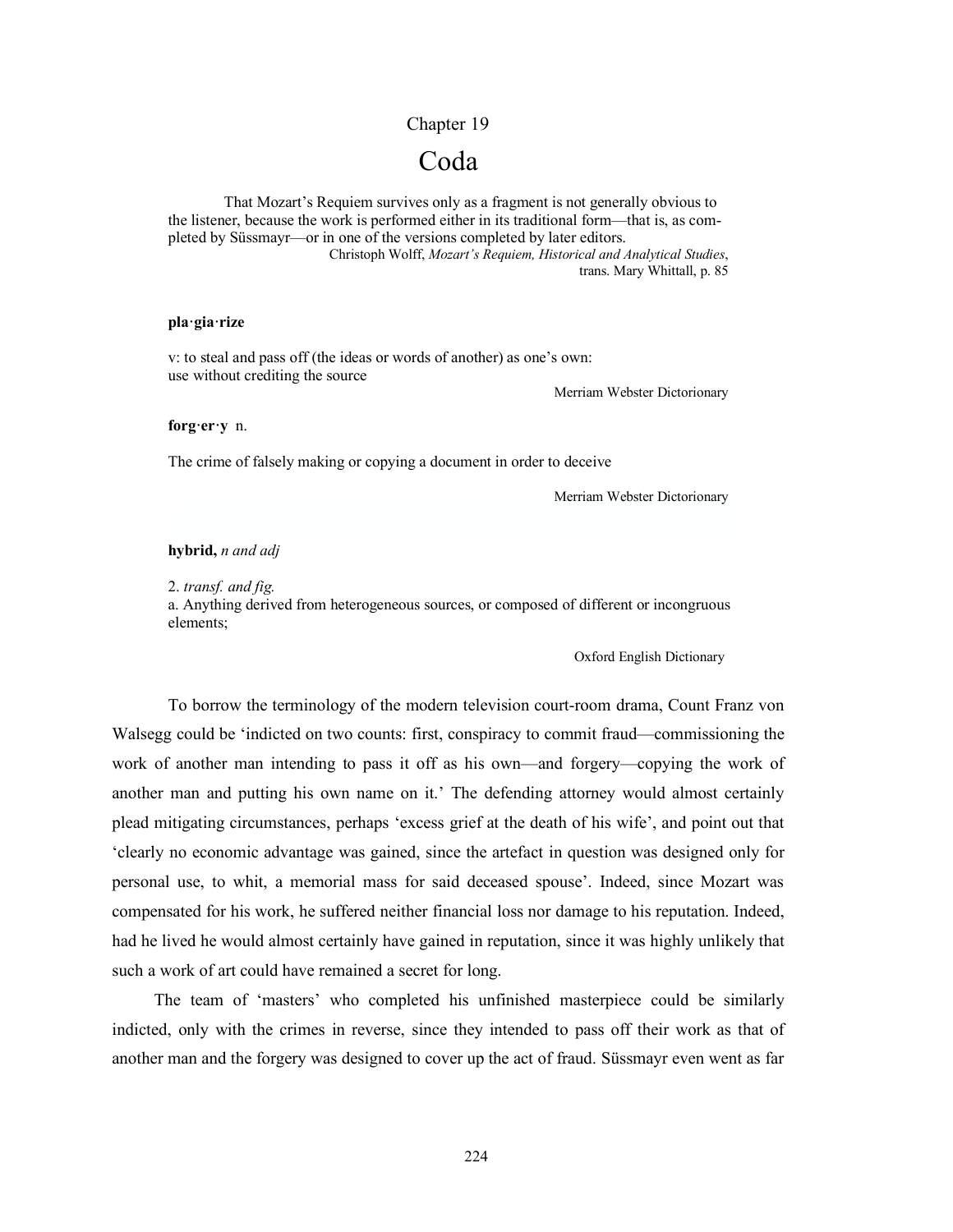Chapter 19

# Coda

That Mozart's Requiem survives only as a fragment is not generally obvious to the listener, because the work is performed either in its traditional form—that is, as completed by Süssmayr—or in one of the versions completed by later editors. Christoph Wolff, *Mozart's Requiem, Historical and Analytical Studies*, trans. Mary Whittall, p. 85

## **pla·gia·rize**

v: to steal and pass off (the ideas or words of another) as one's own: use without crediting the source

Merriam Webster Dictorionary

### **forg·er·y** n.

The crime of falsely making or copying a document in order to deceive

Merriam Webster Dictorionary

### **hybrid,** *n and adj*

#### 2. *transf. and fig.*

a. Anything derived from heterogeneous sources, or composed of different or incongruous elements;

Oxford English Dictionary

To borrow the terminology of the modern television court-room drama, Count Franz von Walsegg could be 'indicted on two counts: first, conspiracy to commit fraud—commissioning the work of another man intending to pass it off as his own—and forgery—copying the work of another man and putting his own name on it.' The defending attorney would almost certainly plead mitigating circumstances, perhaps 'excess grief at the death of his wife', and point out that 'clearly no economic advantage was gained, since the artefact in question was designed only for personal use, to whit, a memorial mass for said deceased spouse'. Indeed, since Mozart was compensated for his work, he suffered neither financial loss nor damage to his reputation. Indeed, had he lived he would almost certainly have gained in reputation, since it was highly unlikely that such a work of art could have remained a secret for long.

The team of 'masters' who completed his unfinished masterpiece could be similarly indicted, only with the crimes in reverse, since they intended to pass off their work as that of another man and the forgery was designed to cover up the act of fraud. Süssmayr even went as far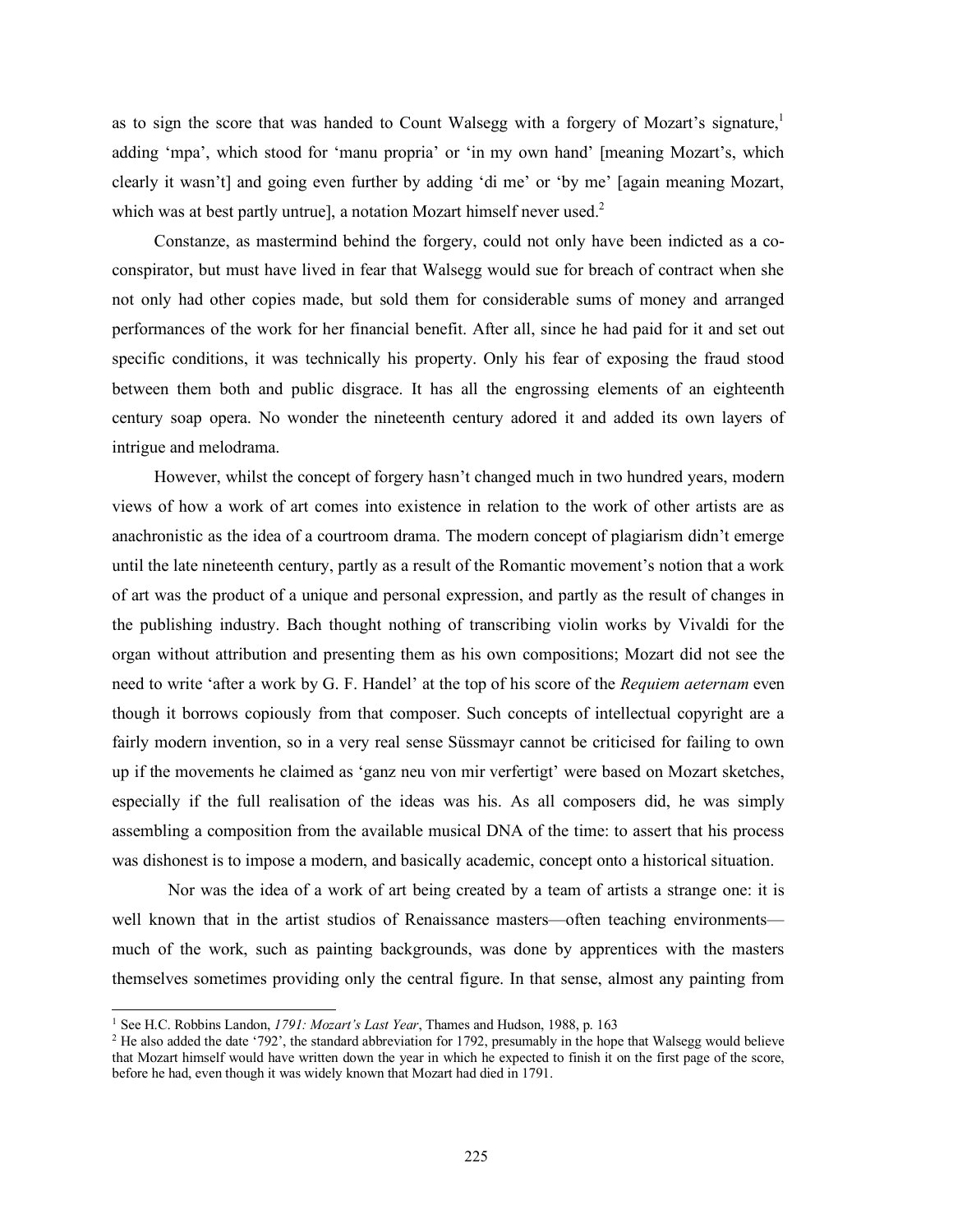as to sign the score that was handed to Count Walsegg with a forgery of Mozart's signature, $\frac{1}{1}$ adding 'mpa', which stood for 'manu propria' or 'in my own hand' [meaning Mozart's, which clearly it wasn't] and going even further by adding 'di me' or 'by me' [again meaning Mozart, which was at best partly untrue], a notation Mozart himself never used.<sup>2</sup>

Constanze, as mastermind behind the forgery, could not only have been indicted as a coconspirator, but must have lived in fear that Walsegg would sue for breach of contract when she not only had other copies made, but sold them for considerable sums of money and arranged performances of the work for her financial benefit. After all, since he had paid for it and set out specific conditions, it was technically his property. Only his fear of exposing the fraud stood between them both and public disgrace. It has all the engrossing elements of an eighteenth century soap opera. No wonder the nineteenth century adored it and added its own layers of intrigue and melodrama.

However, whilst the concept of forgery hasn't changed much in two hundred years, modern views of how a work of art comes into existence in relation to the work of other artists are as anachronistic as the idea of a courtroom drama. The modern concept of plagiarism didn't emerge until the late nineteenth century, partly as a result of the Romantic movement's notion that a work of art was the product of a unique and personal expression, and partly as the result of changes in the publishing industry. Bach thought nothing of transcribing violin works by Vivaldi for the organ without attribution and presenting them as his own compositions; Mozart did not see the need to write 'after a work by G. F. Handel' at the top of his score of the *Requiem aeternam* even though it borrows copiously from that composer. Such concepts of intellectual copyright are a fairly modern invention, so in a very real sense Süssmayr cannot be criticised for failing to own up if the movements he claimed as 'ganz neu von mir verfertigt' were based on Mozart sketches, especially if the full realisation of the ideas was his. As all composers did, he was simply assembling a composition from the available musical DNA of the time: to assert that his process was dishonest is to impose a modern, and basically academic, concept onto a historical situation.

Nor was the idea of a work of art being created by a team of artists a strange one: it is well known that in the artist studios of Renaissance masters—often teaching environments much of the work, such as painting backgrounds, was done by apprentices with the masters themselves sometimes providing only the central figure. In that sense, almost any painting from

l

<sup>1</sup> See H.C. Robbins Landon, *1791: Mozart's Last Year*, Thames and Hudson, 1988, p. 163

<sup>&</sup>lt;sup>2</sup> He also added the date '792', the standard abbreviation for 1792, presumably in the hope that Walsegg would believe that Mozart himself would have written down the year in which he expected to finish it on the first page of the score, before he had, even though it was widely known that Mozart had died in 1791.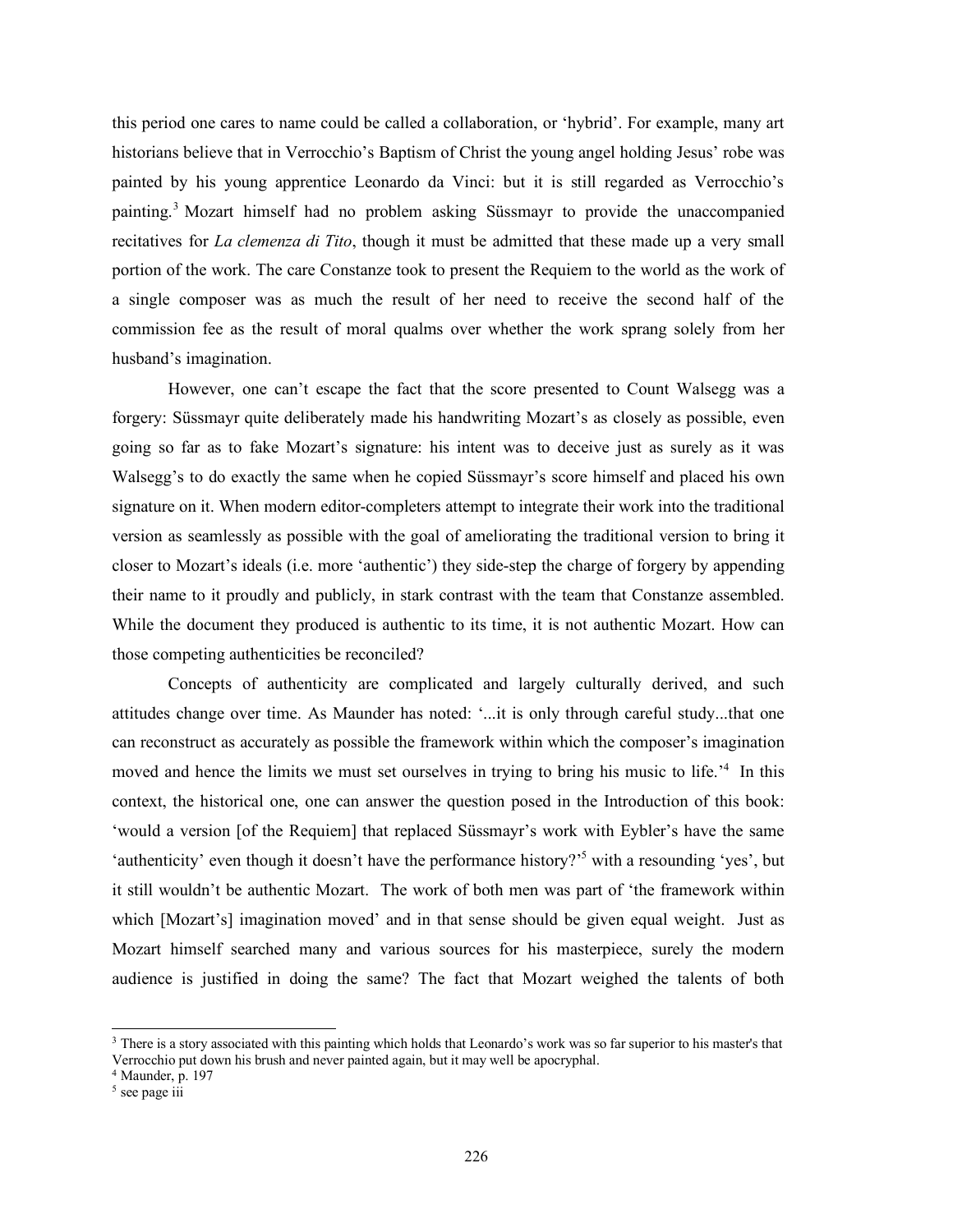this period one cares to name could be called a collaboration, or 'hybrid'. For example, many art historians believe that in Verrocchio's Baptism of Christ the young angel holding Jesus' robe was painted by his young apprentice Leonardo da Vinci: but it is still regarded as Verrocchio's painting.<sup>3</sup> Mozart himself had no problem asking Süssmayr to provide the unaccompanied recitatives for *La clemenza di Tito*, though it must be admitted that these made up a very small portion of the work. The care Constanze took to present the Requiem to the world as the work of a single composer was as much the result of her need to receive the second half of the commission fee as the result of moral qualms over whether the work sprang solely from her husband's imagination.

However, one can't escape the fact that the score presented to Count Walsegg was a forgery: Süssmayr quite deliberately made his handwriting Mozart's as closely as possible, even going so far as to fake Mozart's signature: his intent was to deceive just as surely as it was Walsegg's to do exactly the same when he copied Süssmayr's score himself and placed his own signature on it. When modern editor-completers attempt to integrate their work into the traditional version as seamlessly as possible with the goal of ameliorating the traditional version to bring it closer to Mozart's ideals (i.e. more 'authentic') they side-step the charge of forgery by appending their name to it proudly and publicly, in stark contrast with the team that Constanze assembled. While the document they produced is authentic to its time, it is not authentic Mozart. How can those competing authenticities be reconciled?

Concepts of authenticity are complicated and largely culturally derived, and such attitudes change over time. As Maunder has noted: '...it is only through careful study...that one can reconstruct as accurately as possible the framework within which the composer's imagination moved and hence the limits we must set ourselves in trying to bring his music to life.<sup>24</sup> In this context, the historical one, one can answer the question posed in the Introduction of this book: 'would a version [of the Requiem] that replaced Süssmayr's work with Eybler's have the same 'authenticity' even though it doesn't have the performance history?'5 with a resounding 'yes', but it still wouldn't be authentic Mozart. The work of both men was part of 'the framework within which [Mozart's] imagination moved' and in that sense should be given equal weight. Just as Mozart himself searched many and various sources for his masterpiece, surely the modern audience is justified in doing the same? The fact that Mozart weighed the talents of both

 $\overline{a}$ 

<sup>&</sup>lt;sup>3</sup> There is a story associated with this painting which holds that Leonardo's work was so far superior to his master's that Verrocchio put down his brush and never painted again, but it may well be apocryphal.

<sup>&</sup>lt;sup>4</sup> Maunder, p. 197

<sup>&</sup>lt;sup>5</sup> see page iii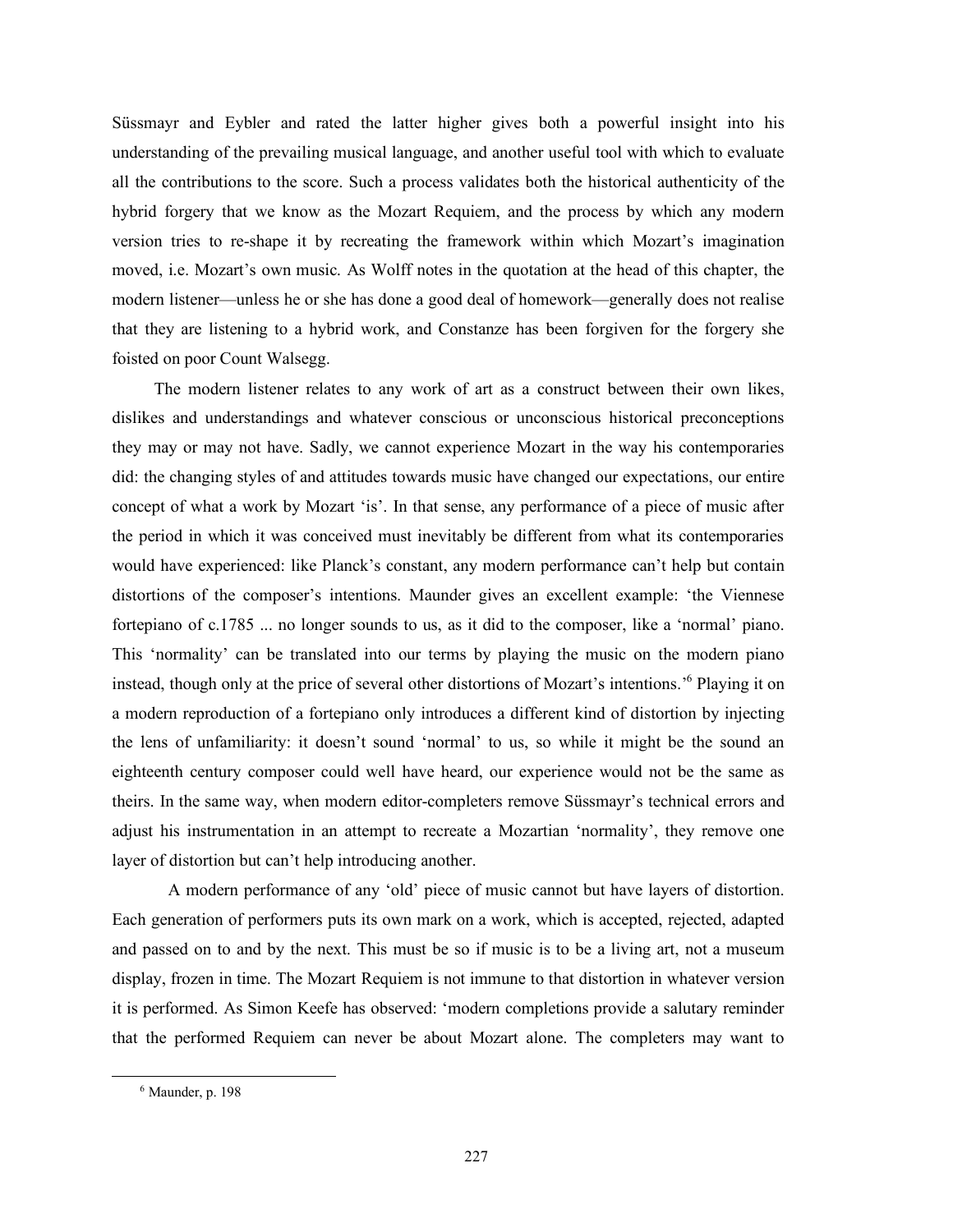Süssmayr and Eybler and rated the latter higher gives both a powerful insight into his understanding of the prevailing musical language, and another useful tool with which to evaluate all the contributions to the score. Such a process validates both the historical authenticity of the hybrid forgery that we know as the Mozart Requiem, and the process by which any modern version tries to re-shape it by recreating the framework within which Mozart's imagination moved, i.e. Mozart's own music. As Wolff notes in the quotation at the head of this chapter, the modern listener—unless he or she has done a good deal of homework—generally does not realise that they are listening to a hybrid work, and Constanze has been forgiven for the forgery she foisted on poor Count Walsegg.

The modern listener relates to any work of art as a construct between their own likes, dislikes and understandings and whatever conscious or unconscious historical preconceptions they may or may not have. Sadly, we cannot experience Mozart in the way his contemporaries did: the changing styles of and attitudes towards music have changed our expectations, our entire concept of what a work by Mozart 'is'. In that sense, any performance of a piece of music after the period in which it was conceived must inevitably be different from what its contemporaries would have experienced: like Planck's constant, any modern performance can't help but contain distortions of the composer's intentions. Maunder gives an excellent example: 'the Viennese fortepiano of c.1785 ... no longer sounds to us, as it did to the composer, like a 'normal' piano. This 'normality' can be translated into our terms by playing the music on the modern piano instead, though only at the price of several other distortions of Mozart's intentions.'6 Playing it on a modern reproduction of a fortepiano only introduces a different kind of distortion by injecting the lens of unfamiliarity: it doesn't sound 'normal' to us, so while it might be the sound an eighteenth century composer could well have heard, our experience would not be the same as theirs. In the same way, when modern editor-completers remove Süssmayr's technical errors and adjust his instrumentation in an attempt to recreate a Mozartian 'normality', they remove one layer of distortion but can't help introducing another.

A modern performance of any 'old' piece of music cannot but have layers of distortion. Each generation of performers puts its own mark on a work, which is accepted, rejected, adapted and passed on to and by the next. This must be so if music is to be a living art, not a museum display, frozen in time. The Mozart Requiem is not immune to that distortion in whatever version it is performed. As Simon Keefe has observed: 'modern completions provide a salutary reminder that the performed Requiem can never be about Mozart alone. The completers may want to

 $\overline{a}$ 

 $6$  Maunder, p. 198